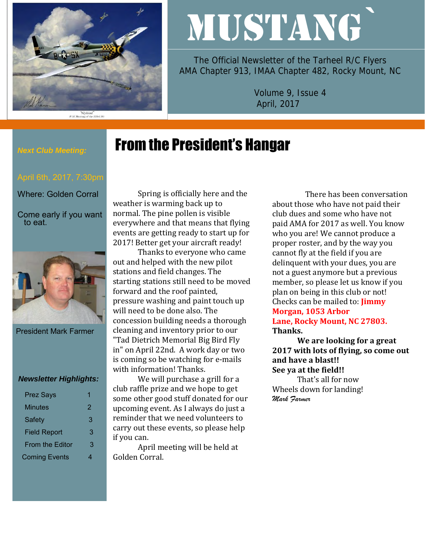

#### "Slybird"<br>P-51 Mustang of the 353rd FG

# MUSTANG`

The Official Newsletter of the Tarheel R/C Flyers AMA Chapter 913, IMAA Chapter 482, Rocky Mount, NC

> Volume 9, Issue 4 April, 2017

# From the President's Hangar

### *Next Club Meeting:*

Where: Golden Corral

Come early if you want to eat.



President Mark Farmer

#### *Newsletter Highlights:*

| <b>Prez Says</b>       |   |
|------------------------|---|
| <b>Minutes</b>         | 2 |
| Safety                 | 3 |
| <b>Field Report</b>    | 3 |
| <b>From the Editor</b> | З |
| <b>Coming Events</b>   |   |

Spring is officially here and the weather is warming back up to normal. The pine pollen is visible everywhere and that means that flying events are getting ready to start up for 2017! Better get your aircraft ready!

Thanks to everyone who came out and helped with the new pilot stations and field changes. The starting stations still need to be moved forward and the roof painted, pressure washing and paint touch up will need to be done also. The concession building needs a thorough cleaning and inventory prior to our "Tad Dietrich Memorial Big Bird Fly in" on April 22nd. A work day or two is coming so be watching for e-mails with information! Thanks.

We will purchase a grill for a club raffle prize and we hope to get some other good stuff donated for our upcoming event. As I always do just a reminder that we need volunteers to carry out these events, so please help if you can.

April meeting will be held at Golden Corral.

 There has been conversation about those who have not paid their club dues and some who have not paid AMA for 2017 as well. You know who you are! We cannot produce a proper roster, and by the way you cannot fly at the field if you are delinquent with your dues, you are not a guest anymore but a previous member, so please let us know if you plan on being in this club or not! Checks can be mailed to: **Jimmy Morgan, 1053 Arbor** 

**Lane, Rocky Mount, NC 27803. Thanks.**

**We are looking for a great 2017 with lots of flying, so come out and have a blast!! See ya at the field!!**

That's all for now Wheels down for landing! *Mark Farmer*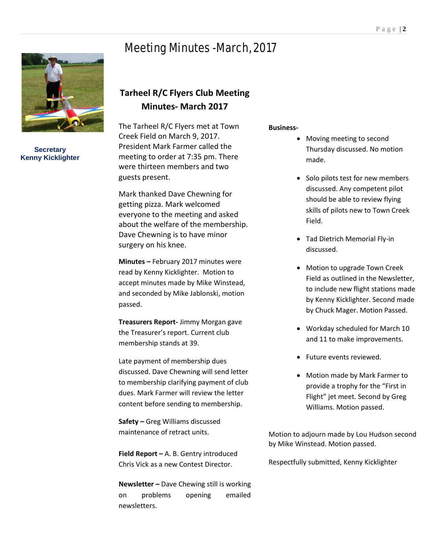# Meeting Minutes -March, 2017



**Secretary Kenny Kicklighter**

## **Tarheel R/C Flyers Club Meeting Minutes- March 2017**

The Tarheel R/C Flyers met at Town Creek Field on March 9, 2017. President Mark Farmer called the meeting to order at 7:35 pm. There were thirteen members and two guests present.

Mark thanked Dave Chewning for getting pizza. Mark welcomed everyone to the meeting and asked about the welfare of the membership. Dave Chewning is to have minor surgery on his knee.

**Minutes –** February 2017 minutes were read by Kenny Kicklighter. Motion to accept minutes made by Mike Winstead, and seconded by Mike Jablonski, motion passed.

**Treasurers Report-** Jimmy Morgan gave the Treasurer's report. Current club membership stands at 39.

Late payment of membership dues discussed. Dave Chewning will send letter to membership clarifying payment of club dues. Mark Farmer will review the letter content before sending to membership.

**Safety –** Greg Williams discussed maintenance of retract units.

**Field Report –** A. B. Gentry introduced Chris Vick as a new Contest Director.

**Newsletter –** Dave Chewing still is working on problems opening emailed newsletters.

#### **Business-**

- Moving meeting to second Thursday discussed. No motion made.
- Solo pilots test for new members discussed. Any competent pilot should be able to review flying skills of pilots new to Town Creek Field.
- Tad Dietrich Memorial Fly-in discussed.
- Motion to upgrade Town Creek Field as outlined in the Newsletter, to include new flight stations made by Kenny Kicklighter. Second made by Chuck Mager. Motion Passed.
- Workday scheduled for March 10 and 11 to make improvements.
- Future events reviewed.
- Motion made by Mark Farmer to provide a trophy for the "First in Flight" jet meet. Second by Greg Williams. Motion passed.

Motion to adjourn made by Lou Hudson second by Mike Winstead. Motion passed.

Respectfully submitted, Kenny Kicklighter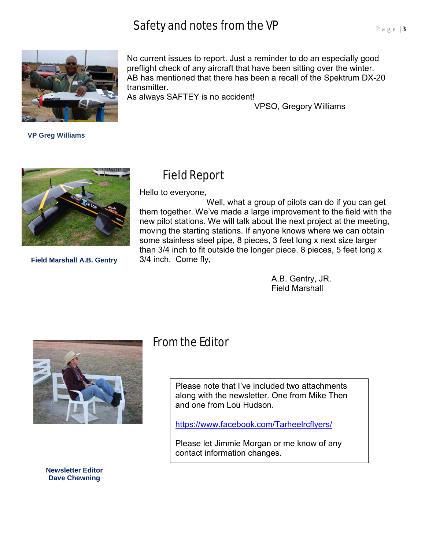

 **VP Greg Williams**

No current issues to report. Just a reminder to do an especially good preflight check of any aircraft that have been sitting over the winter. AB has mentioned that there has been a recall of the Spektrum DX-20 transmitter.

As always SAFTEY is no accident!

VPSO, Gregory Williams



**Field Marshall A.B. Gentry**

# Field Report

Hello to everyone,

 Well, what a group of pilots can do if you can get them together. We've made a large improvement to the field with the new pilot stations. We will talk about the next project at the meeting, moving the starting stations. If anyone knows where we can obtain some stainless steel pipe, 8 pieces, 3 feet long x next size larger than 3/4 inch to fit outside the longer piece. 8 pieces, 5 feet long x 3/4 inch. Come fly,

> A.B. Gentry, JR. Field Marshall



From the Editor

Please note that I've included two attachments along with the newsletter. One from Mike Then and one from Lou Hudson.

<https://www.facebook.com/Tarheelrcflyers/>

Please let Jimmie Morgan or me know of any contact information changes.

**Newsletter Editor Dave Chewning**